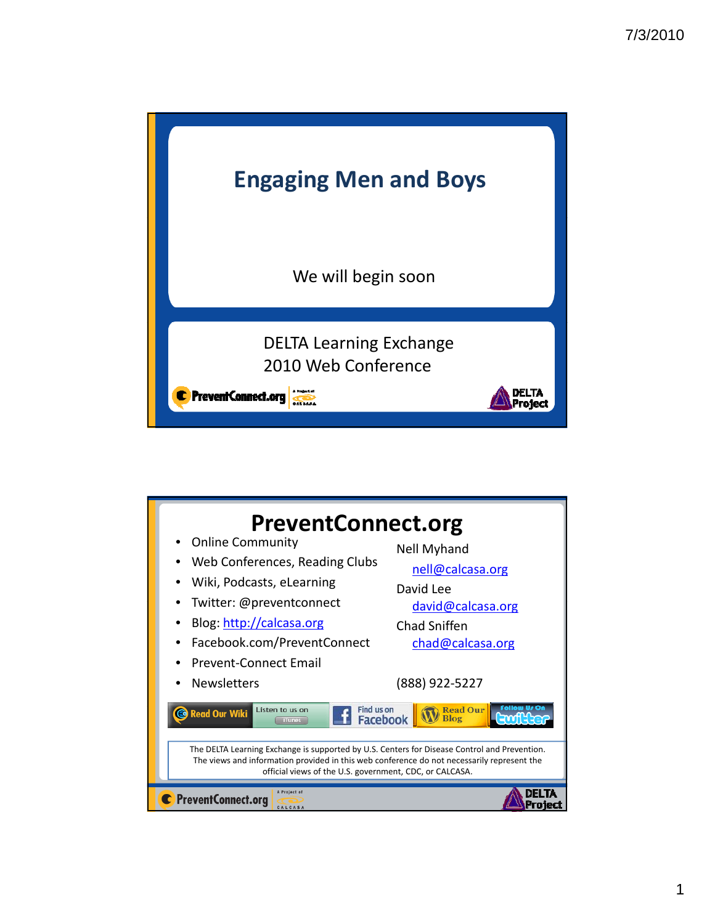

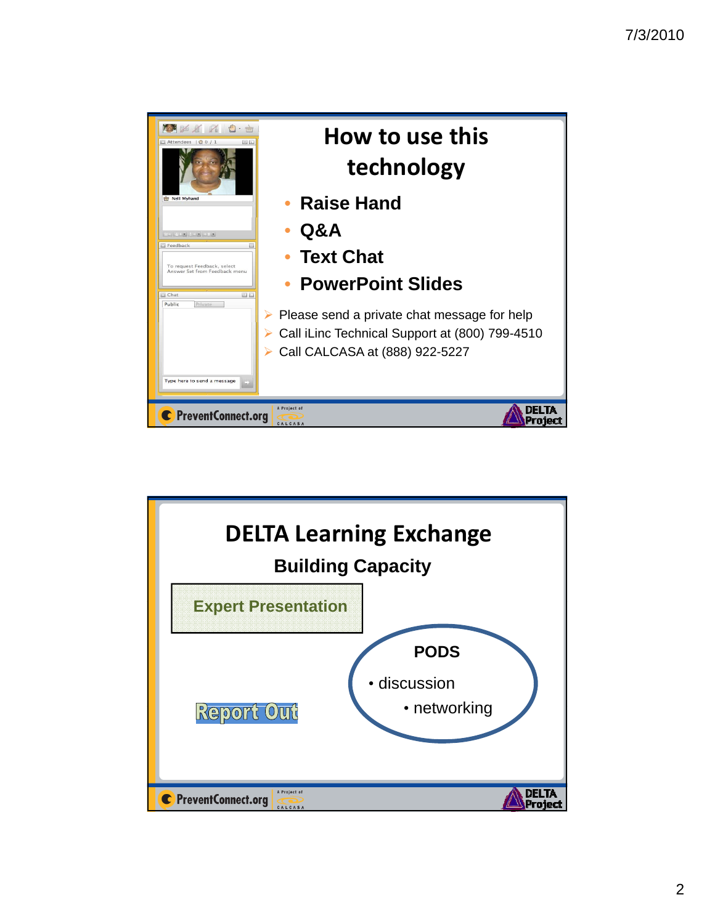

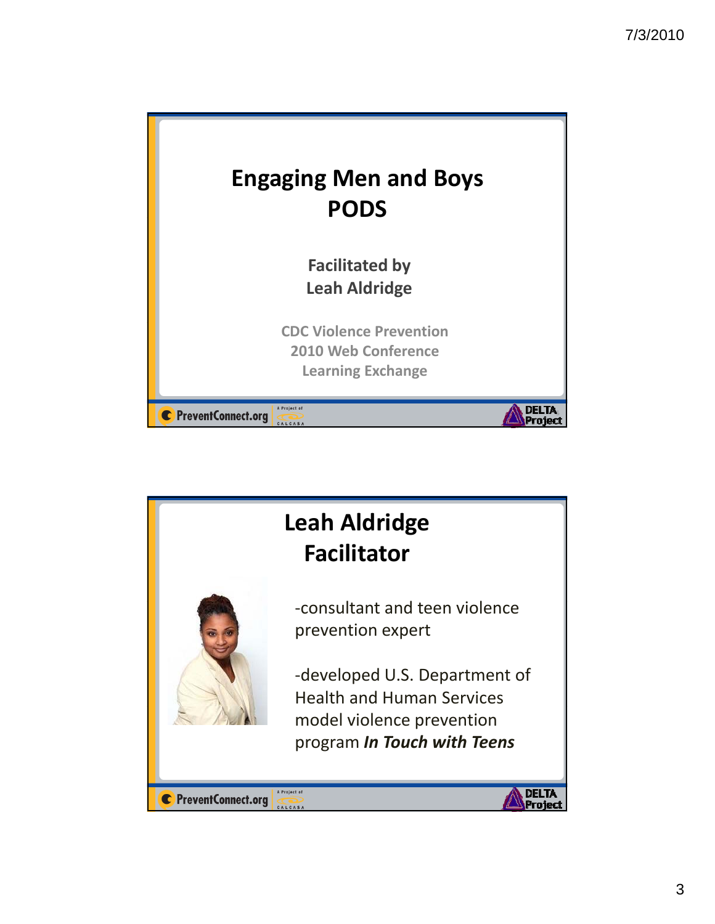

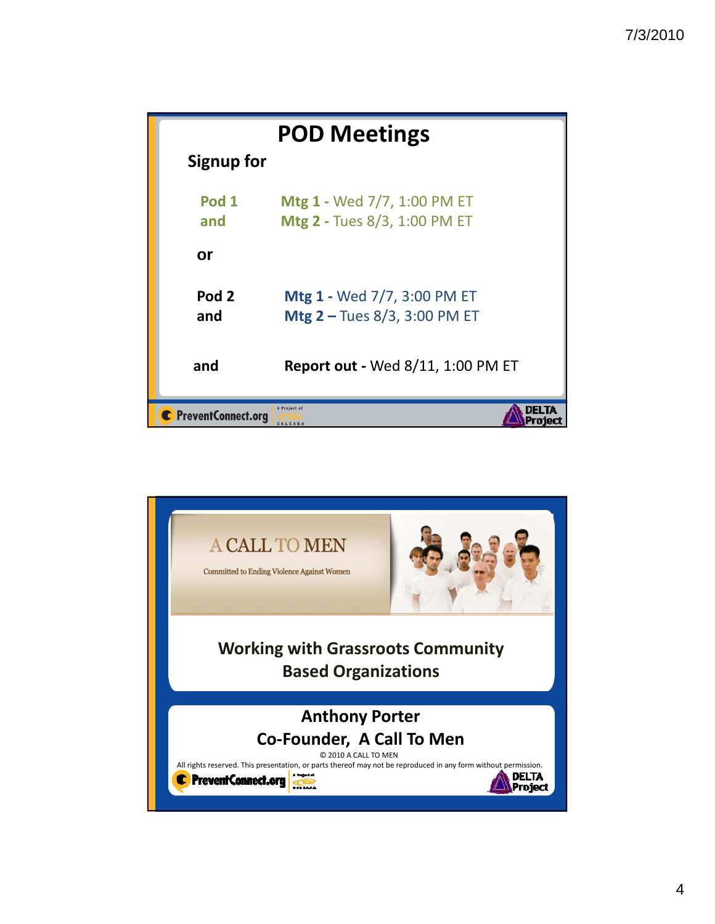| <b>POD Meetings</b>                             |                                                                    |  |
|-------------------------------------------------|--------------------------------------------------------------------|--|
| Signup for                                      |                                                                    |  |
| Pod 1<br>and                                    | Mtg 1 - Wed 7/7, 1:00 PM ET<br>Mtg 2 - Tues 8/3, 1:00 PM ET        |  |
| <b>or</b>                                       |                                                                    |  |
| Pod <sub>2</sub><br>and                         | Mtg 1 - Wed 7/7, 3:00 PM ET<br><b>Mtg 2 - Tues 8/3, 3:00 PM ET</b> |  |
| and                                             | <b>Report out - Wed 8/11, 1:00 PM ET</b>                           |  |
| A Project of<br>C PreventConnect.org<br>CALCASA |                                                                    |  |

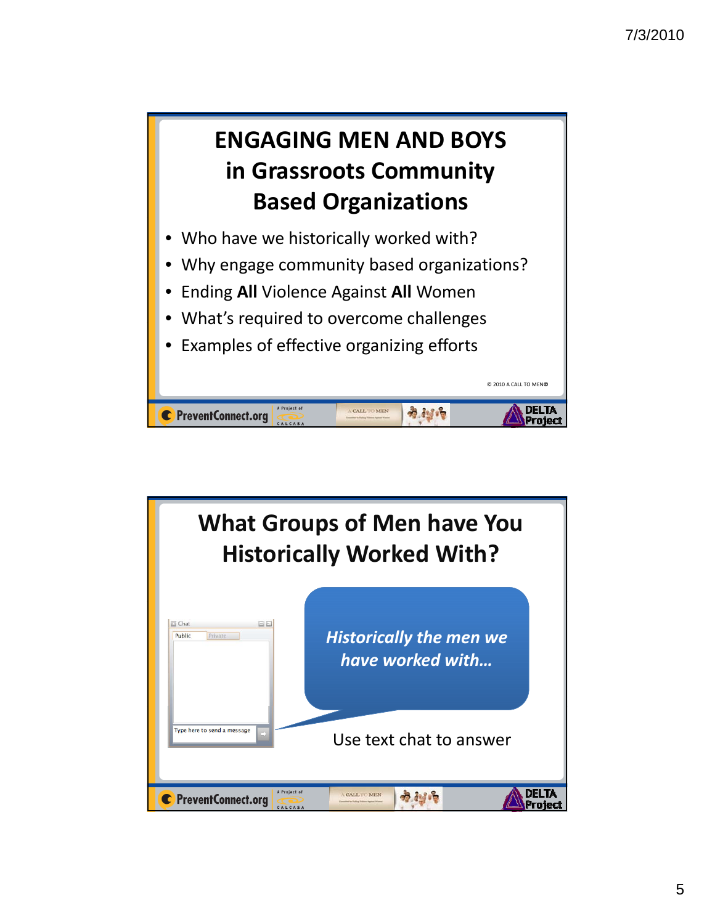Project



C PreventConnect.org

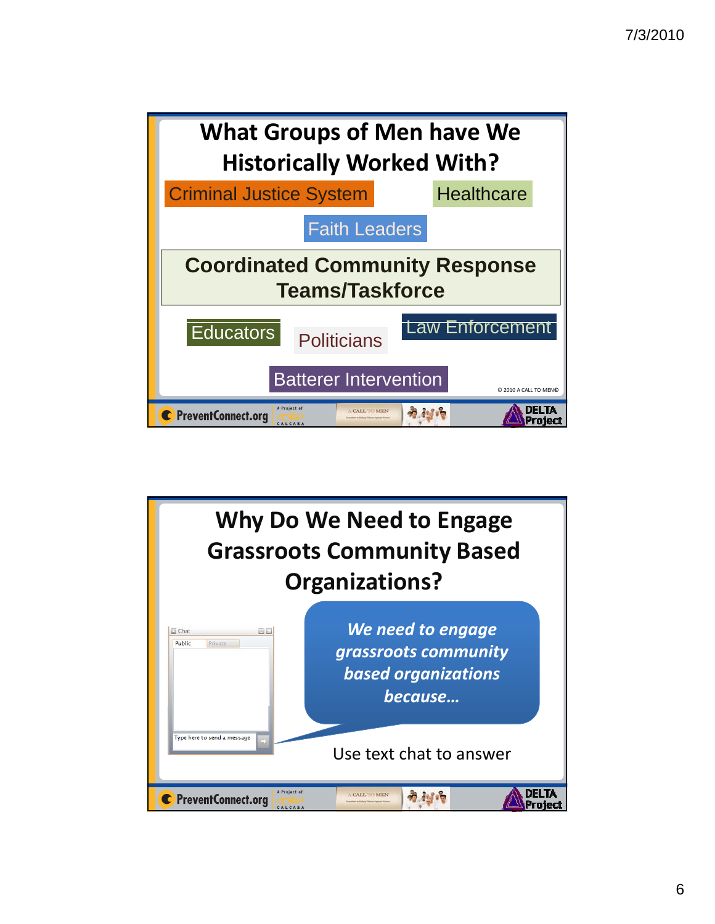

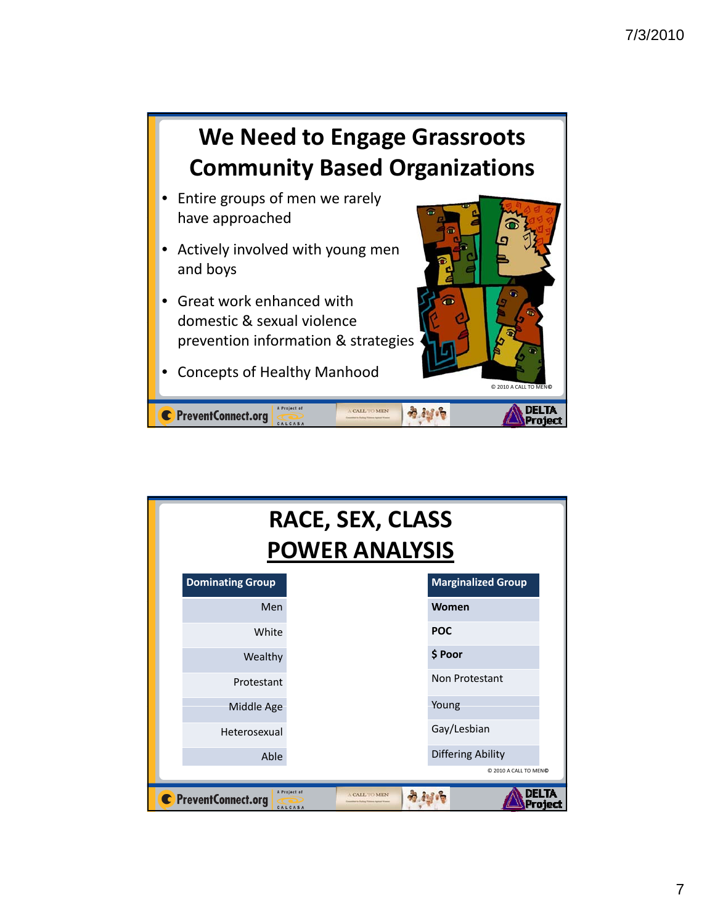

| <b>RACE, SEX, CLASS</b><br><b>POWER ANALYSIS</b>                                            |                           |  |  |  |
|---------------------------------------------------------------------------------------------|---------------------------|--|--|--|
| <b>Dominating Group</b>                                                                     | <b>Marginalized Group</b> |  |  |  |
| Men                                                                                         | Women                     |  |  |  |
| White                                                                                       | <b>POC</b>                |  |  |  |
| Wealthy                                                                                     | \$ Poor                   |  |  |  |
| Protestant                                                                                  | Non Protestant            |  |  |  |
| Middle Age                                                                                  | Young                     |  |  |  |
| Heterosexual                                                                                | Gay/Lesbian               |  |  |  |
| Able                                                                                        | Differing Ability         |  |  |  |
| C 2010 A CALL TO MENO                                                                       |                           |  |  |  |
| A Project of<br>DELTA<br><b>A CALL TO MEN</b><br>C PreventConnect.org<br>Project<br>CALCASA |                           |  |  |  |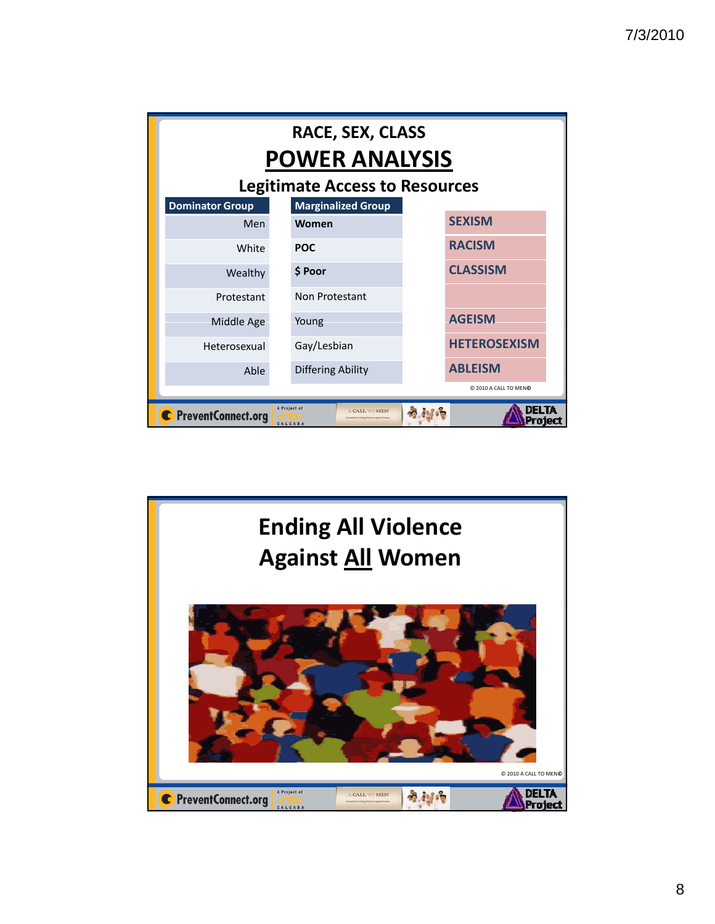| <b>RACE, SEX, CLASS</b><br><b>POWER ANALYSIS</b> |                                          |                     |  |  |
|--------------------------------------------------|------------------------------------------|---------------------|--|--|
| <b>Legitimate Access to Resources</b>            |                                          |                     |  |  |
| <b>Dominator Group</b>                           | <b>Marginalized Group</b>                |                     |  |  |
| Men                                              | Women                                    | <b>SEXISM</b>       |  |  |
| White                                            | <b>POC</b>                               | <b>RACISM</b>       |  |  |
| Wealthy                                          | \$ Poor                                  | <b>CLASSISM</b>     |  |  |
| Protestant                                       | Non Protestant                           |                     |  |  |
| Middle Age                                       | Young                                    | <b>AGEISM</b>       |  |  |
| Heterosexual                                     | Gay/Lesbian                              | <b>HETEROSEXISM</b> |  |  |
| Able                                             | Differing Ability                        | <b>ABLEISM</b>      |  |  |
| C 2010 A CALL TO MENO                            |                                          |                     |  |  |
| C PreventConnect.org                             | A Project of<br>A CALL TO MEN<br>CALCASA | n si n<br>Project   |  |  |

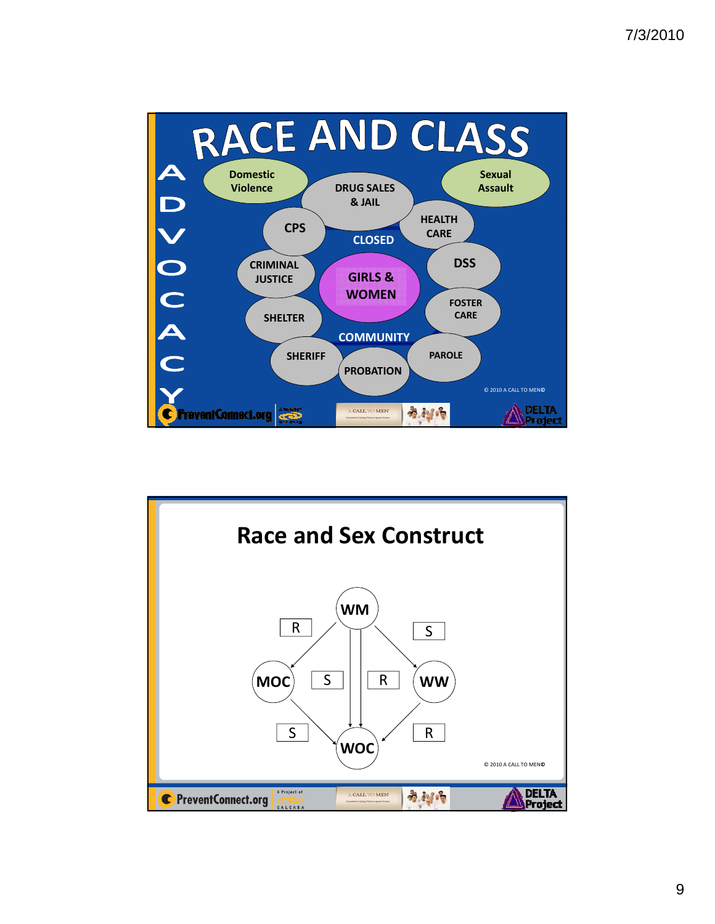

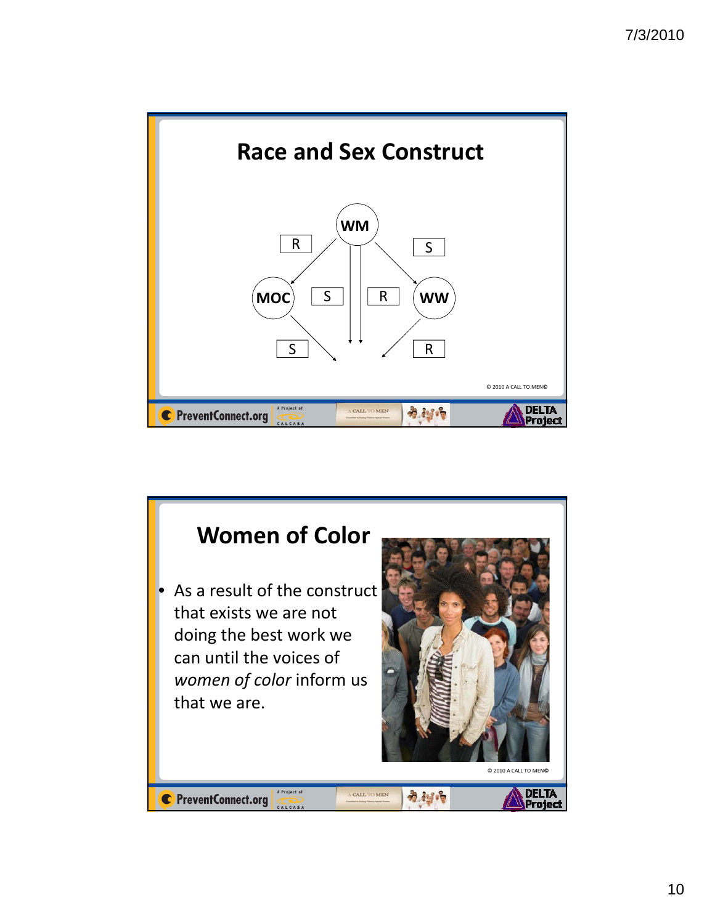

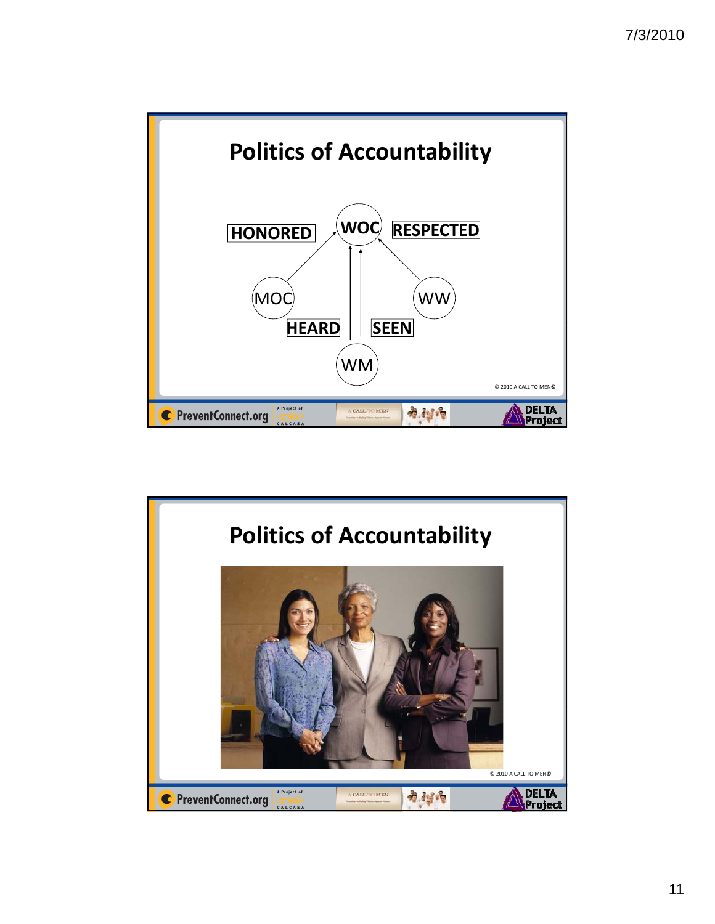

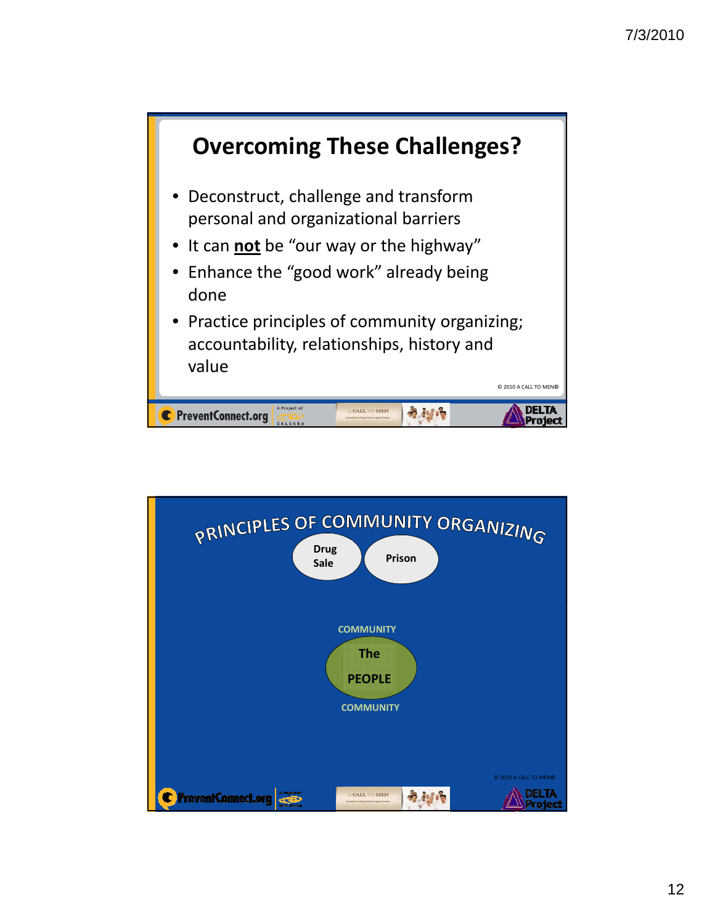

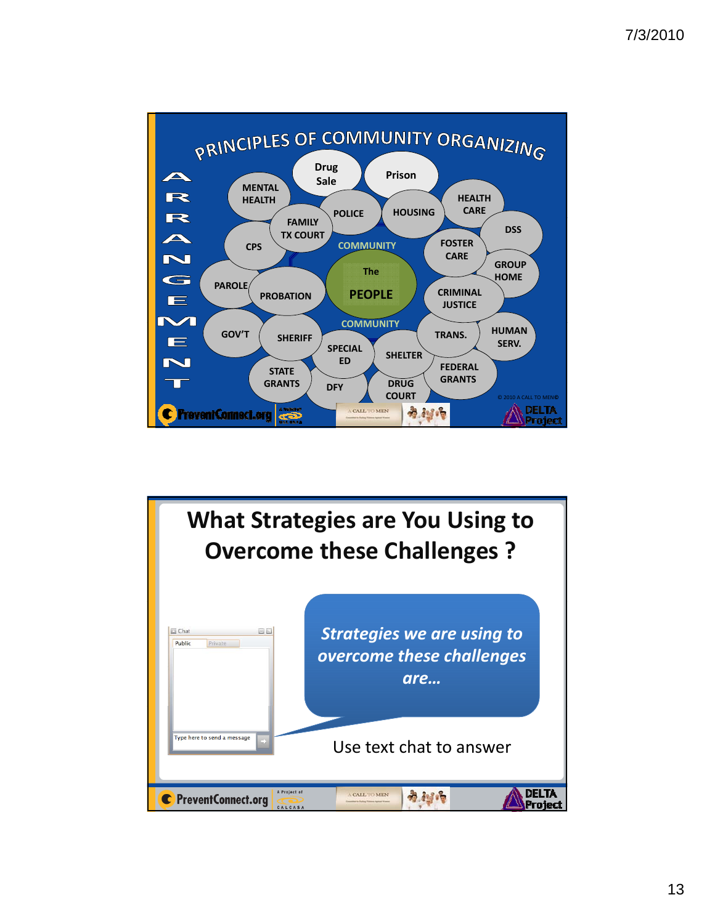

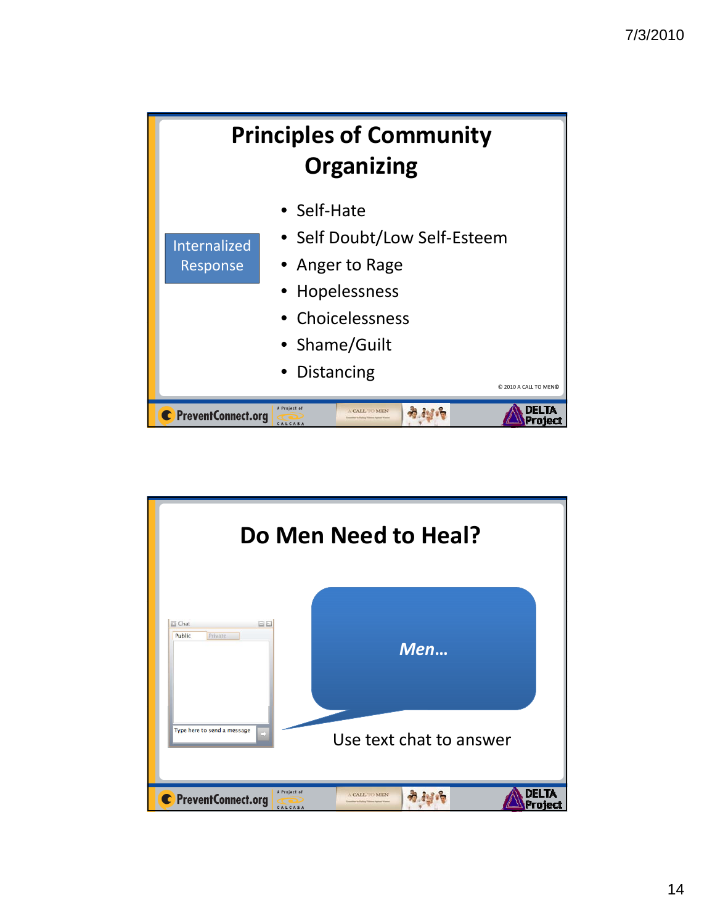

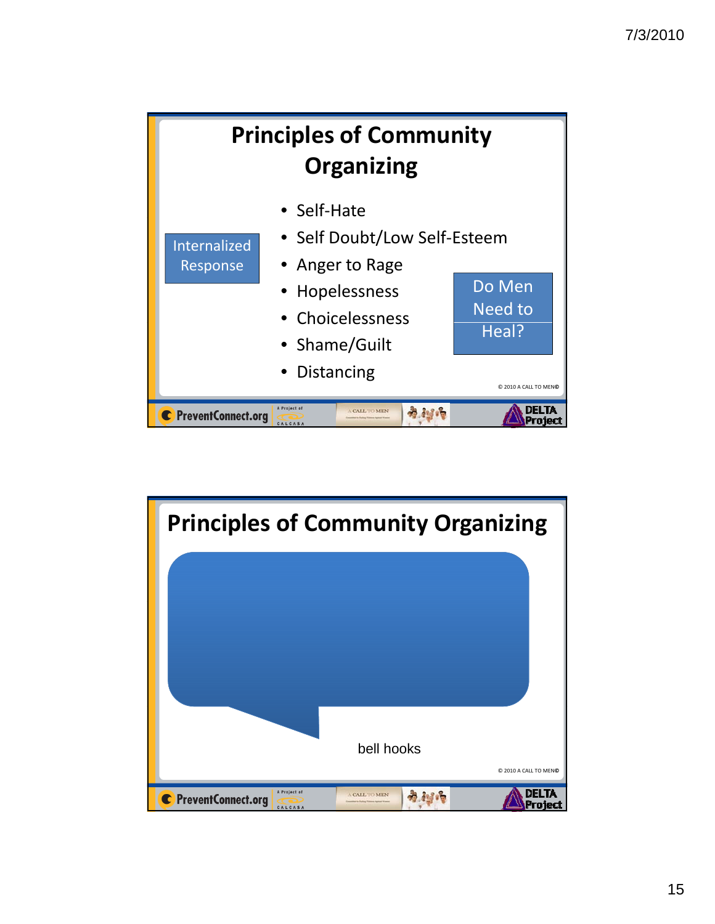

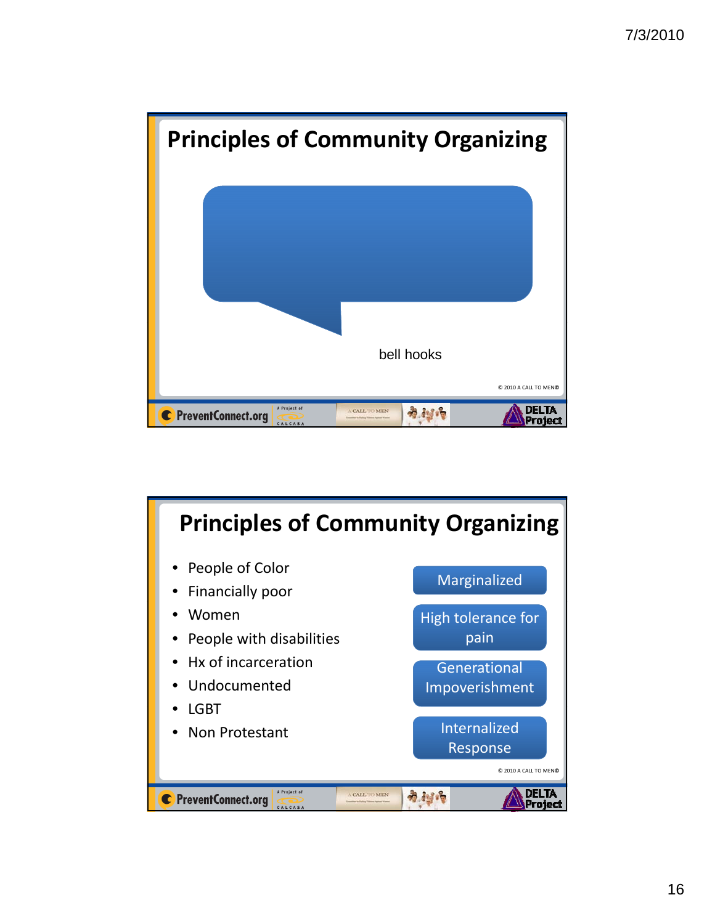

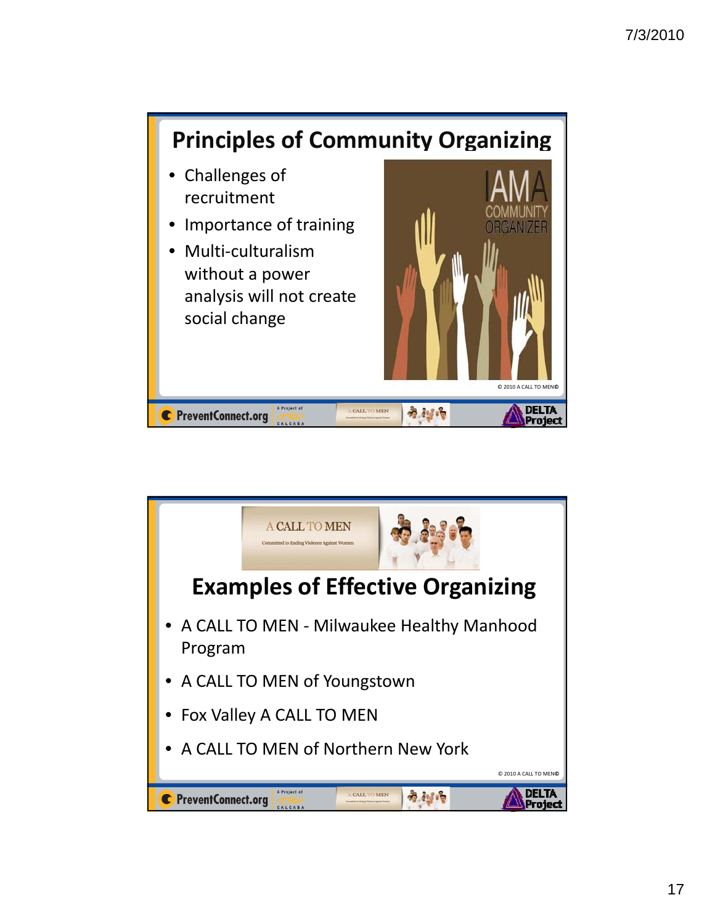

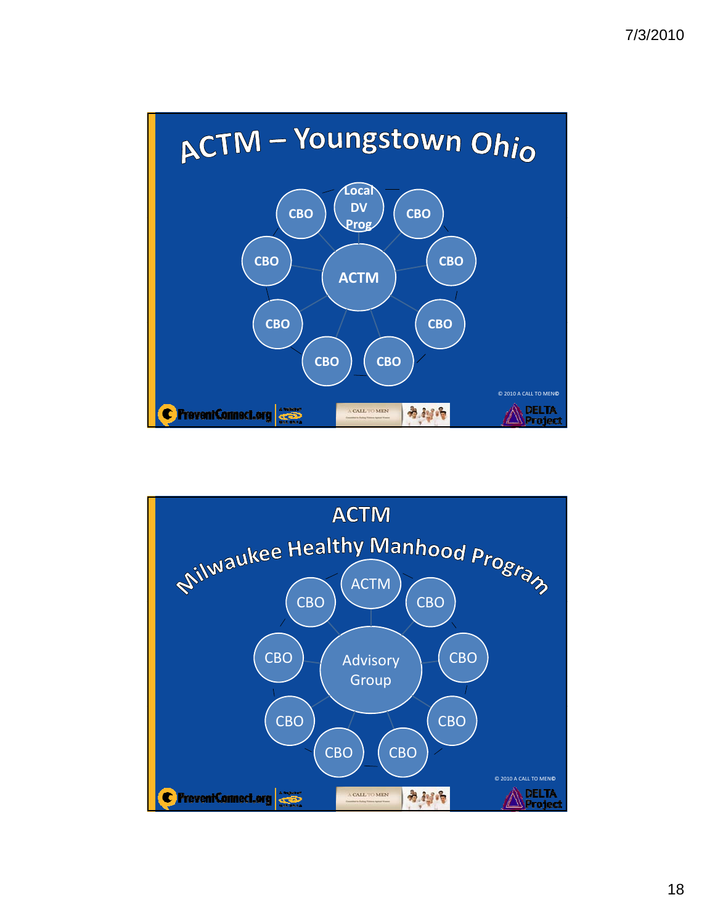